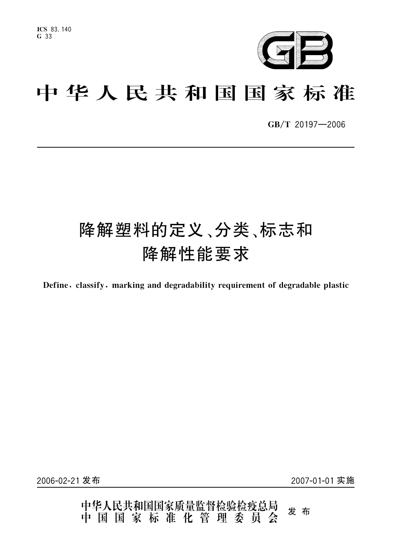

# 中华人民共和国国家标准

GB/T 20197-2006

# 降解塑料的定义、分类、标志和 降解性能要求

Define, classify, marking and degradability requirement of degradable plastic

2006-02-21 发布

2007-01-01 实施

中华人民共和国国家质量监督检验检疫总局<br>中 国 国 家 标 准 化 管 理 委 员 会 发布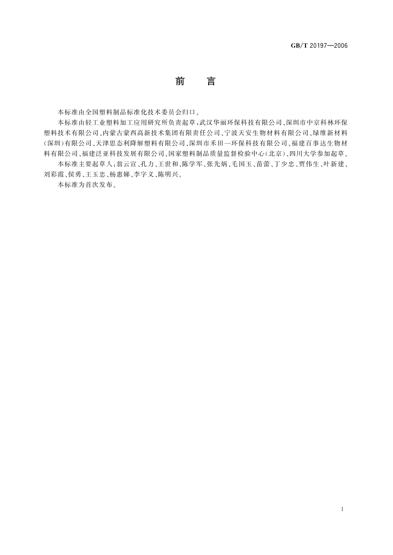# 前 言

本标准由全国塑料制品标准化技术委员会归口。

本标准由轻工业塑料加工应用研究所负责起草,武汉华丽环保科技有限公司、深圳市中京科林环保 塑料技术有限公司、内蒙古蒙西高新技术集团有限责任公司、宁波天安生物材料有限公司、绿维新材料 (深圳)有限公司、天津思态利降解塑料有限公司、深圳市禾田一环保科技有限公司、福建百事达生物材 料有限公司、福建泛亚科技发展有限公司、国家塑料制品质量监督检验中心(北京)、四川大学参加起草。

本标准主要起草人:翁云宣、孔力、王世和、陈学军、张先炳、毛国玉、苗蕾、丁少忠、贾伟生、叶新建、 刘彩霞、侯勇、王玉忠、杨惠娣、李字义、陈明兴。

本标准为首次发布。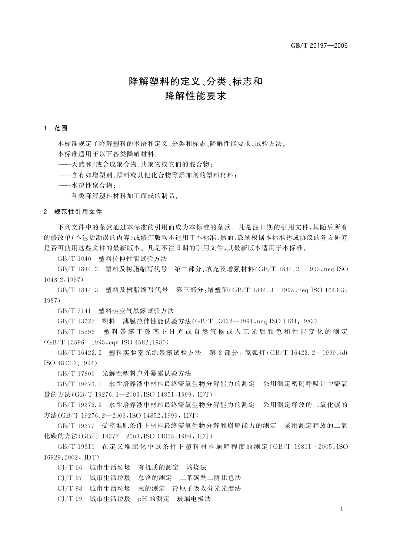# 降解塑料的定义、分类、标志和 降解性能要求

#### 1 范围

本标准规定了降解塑料的术语和定义、分类和标志、降解性能要求、试验方法。 本标准适用于以下各类降解材料:

——天然和/或合成聚合物、共聚物或它们的混合物:

一含有如增塑剂、颜料或其他化合物等添加剂的塑料材料;

—水溶性聚合物:

——各类降解塑料材料加工而成的制品。

#### 2 规范性引用文件

下列文件中的条款通过本标准的引用而成为本标准的条款。凡是注日期的引用文件,其随后所有 的修改单(不包括勘误的内容)或修订版均不适用于本标准,然而,鼓励根据本标准达成协议的各方研究 是否可使用这些文件的最新版本。凡是不注日期的引用文件,其最新版本适用于本标准。

GB/T 1040 塑料拉伸性能试验方法

GB/T 1844.2 塑料及树脂缩写代号 第二部分:填充及增强材料(GB/T 1844.2-1995,neq ISO  $1043 - 2.1987$ 

GB/T 1844.3 塑料及树脂缩写代号 第三部分:增塑剂(GB/T 1844.3-1995,neq ISO 1043-3: 1987)

GB/T 7141 塑料热空气暴露试验方法

GB/T 13022 塑料 薄膜拉伸性能试验方法(GB/T 13022-1991, neq ISO 1184:1983)

GB/T 15596 塑料暴露于玻璃下日光或自然气候或人工光后颜色和性能变化的测定 (GB/T 15596-1995, eqv ISO 4582:1980)

GB/T 16422.2 塑料实验室光源暴露试验方法 第 2 部分: 氙弧灯(GB/T 16422. 2-1999, idt  $ISO$  4892-2:1994)

GB/T 17603 光解性塑料户外暴露试验方法

GB/T 19276.1 水性培养液中材料最终需氧生物分解能力的测定 采用测定密闭呼吸计中需氧 量的方法(GB/T 19276, 1-2003, ISO 14851, 1999, IDT)

GB/T 19276.2 水性培养液中材料最终需氧生物分解能力的测定 采用测定释放的二氧化碳的 方法(GB/T 19276.2-2003, ISO 14852:1999, IDT)

GB/T 19277 受控堆肥条件下材料最终需氧生物分解和崩解能力的测定 采用测定释放的二氧 化碳的方法(GB/T 19277-2003, ISO 14855:1999, IDT)

GB/T 19811 在定义堆肥化中试条件下塑料材料崩解程度的测定(GB/T 19811-2005, ISO 16929:2002, IDT)

CJ/T 96 城市生活垃圾 有机质的测定 灼烧法

- CJ/T 97 城市生活垃圾 总铬的测定 二苯碳酰二阱比色法
- CJ/T 98 城市生活垃圾 汞的测定 冷原子吸收分光光度法
- CJ/T 99 城市生活垃圾 pH 的测定 玻璃电极法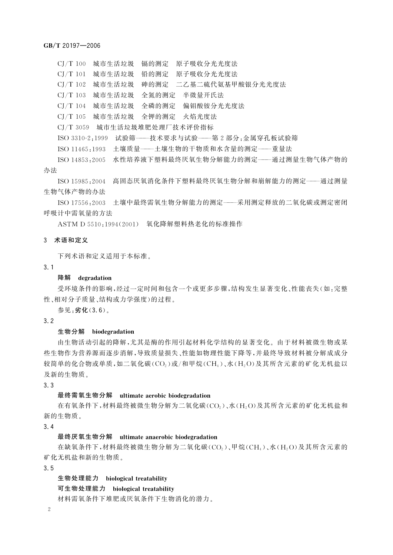CJ/T 100 城市生活垃圾 镉的测定 原子吸收分光光度法

CI/T 101 城市生活垃圾 铅的测定 原子吸收分光光度法

CI/T 102 城市生活垃圾 砷的测定 二乙基二硫代氨基甲酸银分光光度法

CJ/T 103 城市生活垃圾 全氮的测定 半微量开氏法

CJ/T 104 城市生活垃圾 全磷的测定 偏钼酸铵分光光度法

CJ/T 105 城市生活垃圾 全钾的测定 火焰光度法

CJ/T 3059 城市生活垃圾堆肥处理厂技术评价指标

ISO 3310-2:1999 试验筛——技术要求与试验——第2部分:金属穿孔板试验筛

ISO 11465:1993 土壤质量——土壤生物的干物质和水含量的测定——重量法

ISO 14853:2005 水性培养液下塑料最终厌氧生物分解能力的测定——通过测量生物气体产物的 办法

ISO 15985:2004 高固态厌氧消化条件下塑料最终厌氧生物分解和崩解能力的测定——通过测量 生物气体产物的办法

ISO 17556:2003 土壤中最终需氧生物分解能力的测定——采用测定释放的二氧化碳或测定密闭 呼吸计中需氧量的方法

ASTM D 5510:1994(2001) 氧化降解塑料热老化的标准操作

#### 3 术语和定义

下列术语和定义适用于本标准。

#### $3.1$

#### 降解 degradation

受环境条件的影响,经过一定时间和包含一个或更多步骤,结构发生显著变化、性能丧失(如:完整 性、相对分子质量、结构或力学强度)的过程。

参见:劣化(3.6)。

#### $3.2$

#### 生物分解 biodegradation

由生物活动引起的降解,尤其是酶的作用引起材料化学结构的显著变化。由于材料被微生物或某 些生物作为营养源而逐步消解,导致质量损失、性能如物理性能下降等,并最终导致材料被分解成成分 较简单的化合物或单质,如二氧化碳(CO2)或/和甲烷(CH4)、水(H2O)及其所含元素的矿化无机盐以 及新的生物质。

 $3.3$ 

### 最终需氧生物分解 ultimate aerobic biodegradation

在有氧条件下,材料最终被微生物分解为二氧化碳(CO2)、水(H2O)及其所含元素的矿化无机盐和 新的生物质。

 $3.4$ 

#### 最终厌氧生物分解 ultimate anaerobic biodegradation

在缺氧条件下,材料最终被微生物分解为二氧化碳(CO2)、甲烷(CH4)、水(H2O)及其所含元素的 矿化无机盐和新的生物质。

 $3.5$ 

生物处理能力 biological treatability

可生物处理能力 biological treatability

材料需氧条件下堆肥或厌氧条件下生物消化的潜力。

 $\overline{2}$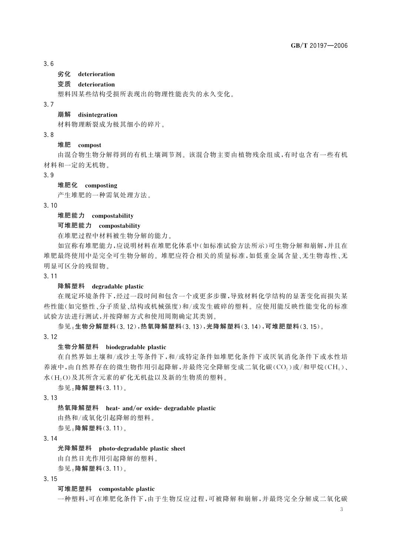#### $3.6$

#### 劣化 deterioration

## 变质 deterioration

塑料因某些结构受损所表现出的物理性能丧失的永久变化。

#### $3.7$

#### 崩解 disintegration

材料物理断裂成为极其细小的碎片。

 $3.8$ 

#### 堆肥 compost

由混合物生物分解得到的有机土壤调节剂。该混合物主要由植物残余组成,有时也含有一些有机 材料和一定的无机物。

 $3.9$ 

#### 堆肥化 composting

产生堆肥的一种需氧处理方法。

 $3.10$ 

## 堆肥能力 compostability

#### 可堆肥能力 compostability

在堆肥过程中材料被生物分解的能力。

如宣称有堆肥能力,应说明材料在堆肥化体系中(如标准试验方法所示)可生物分解和崩解,并且在 堆肥最终使用中是完全可生物分解的。堆肥应符合相关的质量标准,如低重金属含量、无生物毒性、无 明显可区分的残留物。

#### $3.11$

#### 降解塑料 degradable plastic

在规定环境条件下,经过一段时间和包含一个或更多步骤,导致材料化学结构的显著变化而损失某 些性能(如完整性、分子质量、结构或机械强度)和/或发生破碎的塑料。应使用能反映性能变化的标准 试验方法进行测试,并按降解方式和使用周期确定其类别。

参见:生物分解塑料(3.12),热氧降解塑料(3.13),光降解塑料(3.14),可堆肥塑料(3.15)。  $3.12$ 

#### 生物分解塑料 biodegradable plastic

在自然界如土壤和/或沙土等条件下,和/或特定条件如堆肥化条件下或厌氧消化条件下或水性培 养液中,由自然界存在的微生物作用引起降解,并最终完全降解变成二氧化碳(CO。)或/和甲烷(CH4)、 水(H2O)及其所含元素的矿化无机盐以及新的生物质的塑料。

参见:降解塑料(3.11)。

 $3.13$ 

#### 热氧降解塑料 heat- and/or oxide- degradable plastic

由热和/或氧化引起降解的塑料。

参见:降解塑料(3.11)。

 $3 \; 14$ 

#### 光降解塑料 photo-degradable plastic sheet

由自然日光作用引起降解的塑料。

参见:降解塑料(3.11)。

#### $3.15$

#### 可堆肥塑料 compostable plastic

一种塑料,可在堆肥化条件下,由于生物反应过程,可被降解和崩解,并最终完全分解成二氧化碳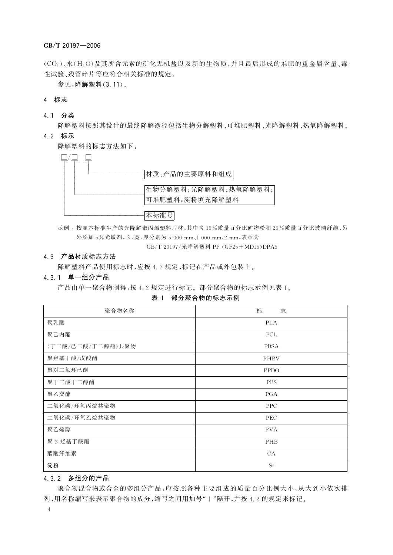(CO<sub>2</sub>)、水(H<sub>2</sub>O)及其所含元素的矿化无机盐以及新的生物质,并且最后形成的堆肥的重金属含量、毒 性试验、残留碎片等应符合相关标准的规定。

参见:降解塑料(3.11)。

4 标志

4.1 分类

降解塑料按照其设计的最终降解途径包括生物分解塑料、可堆肥塑料、光降解塑料、热氧降解塑料。 4.2 标示

降解塑料的标志方法如下:



示例,按照本标准生产的光降解聚丙烯塑料片材,其中含15%质量百分比矿物粉和25%质量百分比玻璃纤维,另 外添加 5%光敏剂,长、宽、厚分别为 5 000 mm、1 000 mm、2 mm,表示为 GB/T 20197/光降解塑料 PP-(GF25+MD15)DPA5

#### 4.3 产品材质标志方法

降解塑料产品使用标志时,应按 4.2 规定,标记在产品或外包装上。

#### 4.3.1 单一组分产品

产品由单一聚合物制得,按4.2规定进行标记。部分聚合物的标志示例见表1。

表 1 部分聚合物的标志示例

| 聚合物名称             | 标<br>志      |
|-------------------|-------------|
| 聚乳酸               | <b>PLA</b>  |
| 聚己内酯              | PCL         |
| (丁二酸/己二酸/丁二醇酯)共聚物 | <b>PBSA</b> |
| 聚羟基丁酸/戊酸酯         | PHBV        |
| 聚对二氧环己酮           | <b>PPDO</b> |
| 聚丁二酸丁二醇酯          | <b>PBS</b>  |
| 聚乙交酯              | PGA         |
| 二氧化碳/环氧丙烷共聚物      | <b>PPC</b>  |
| 二氧化碳/环氧乙烷共聚物      | <b>PEC</b>  |
| 聚乙烯醇              | <b>PVA</b>  |
| 聚-3-羟基丁酸酯         | PHB         |
| 醋酸纤维素             | CA          |
| 淀粉                | St          |

#### 4.3.2 多组分的产品

聚合物混合物或合金的多组分产品,应按照各种主要组成的质量百分比例大小,从大到小依次排 列,用名称缩写来表示聚合物的成分,缩写之间用加号"+"隔开,并按 4.2 的规定来标记。

 $\overline{4}$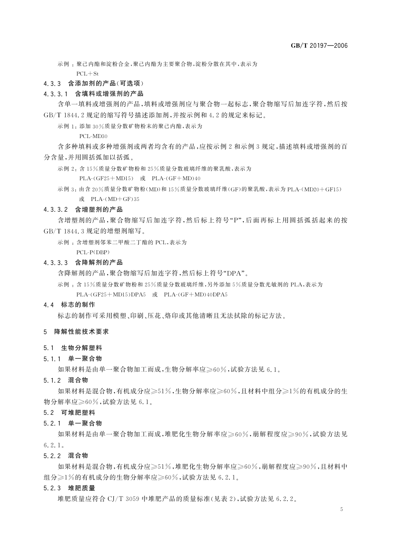示例: 聚己内酯和淀粉合金,聚己内酯为主要聚合物,淀粉分散在其中,表示为

 $PCL + St$ 

### 4.3.3 含添加剂的产品(可选项)

#### 4.3.3.1 含填料或增强剂的产品

含单一填料或增强剂的产品,填料或增强剂应与聚合物一起标志,聚合物缩写后加连字符,然后按 GB/T 1844 2 规定的缩写符号描述添加剂,并按示例和 4 2 的规定来标记。

示例 1: 添加 30%质量分数矿物粉末的聚己内酯,表示为

 $PCI - MD30$ 

含多种填料或多种增强剂或两者均含有的产品,应按示例2和示例3规定,描述填料或增强剂的百 分含量,并用圆括弧加以括弧。

示例 2: 含 15%质量分数矿物粉和 25%质量分数玻璃纤维的聚乳酸,表示为

PLA-(GF25+MD15) 或 PLA-(GF+MD)40

示例 3: 由含 20%质量分数矿物粉(MD)和 15%质量分数玻璃纤维(GF)的聚乳酸,表示为 PLA-(MD20+GF15) 或 PLA-(MD+GF)35

#### 4.3.3.2 含增塑剂的产品

含增塑剂的产品,聚合物缩写后加连字符,然后标上符号"P",后面再标上用圆括弧括起来的按 GB/T 1844.3 规定的增塑剂缩写。

示例: 含增塑剂邻苯二甲酸二丁酯的 PCL,表示为

PCL-P(DBP)

#### 4.3.3.3 含降解剂的产品

含降解剂的产品,聚合物缩写后加连字符,然后标上符号"DPA"。

示例: 含15%质量分数矿物粉和 25%质量分数玻璃纤维,另外添加 5%质量分数光敏剂的 PLA,表示为  $PLA-(GF25+MD15)DPA5$   $\vec{\mathbf{w}}$   $PLA-(GF+MD)40DPA5$ 

#### 4.4 标志的制作

标志的制作可采用模塑、印刷、压花、烙印或其他清晰且无法拭除的标记方法。

#### 5 降解性能技术要求

#### 5.1 生物分解塑料

#### 5.1.1 单一聚合物

如果材料是由单一聚合物加工而成,生物分解率应≥60%,试验方法见 6.1。

5.1.2 混合物

如果材料是混合物,有机成分应≥51%,生物分解率应≥60%,且材料中组分≥1%的有机成分的生 物分解率应≥60%,试验方法见 6.1。

#### 5.2 可堆肥塑料

5.2.1 单一聚合物

如果材料是由单一聚合物加工而成,堆肥化生物分解率应≥60%,崩解程度应≥90%,试验方法见  $6, 2, 1$ .

5.2.2 混合物

如果材料是混合物,有机成分应≥51%,堆肥化生物分解率应≥60%,崩解程度应≥90%,且材料中 组分》1%的有机成分的生物分解率应》60%,试验方法见 6.2.1。

5.2.3 堆肥质量

堆肥质量应符合 CI/T 3059 中堆肥产品的质量标准(见表 2),试验方法见 6.2.2。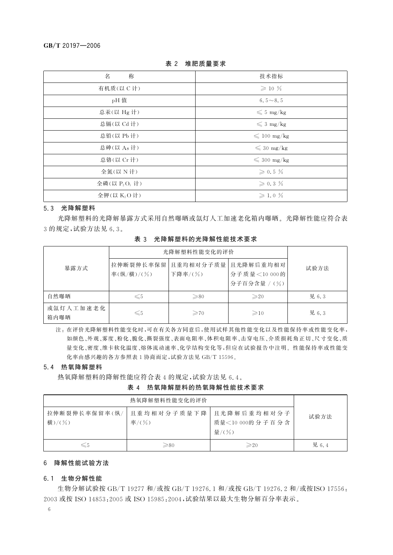| 称<br>名           | 技术指标                  |
|------------------|-----------------------|
| 有机质(以 C 计)       | $\geqslant$ 10 $\%$   |
| pH 值             | 6.5 $\sim$ 8.5        |
| 总汞(以 Hg 计)       | $\leqslant$ 5 mg/kg   |
| 总镉(以 Cd 计)       | $\leq 3$ mg/kg        |
| 总铅(以 Pb 计)       | $\leqslant$ 100 mg/kg |
| 总砷(以 As 计)       | $\leqslant$ 30 mg/kg  |
| 总铬(以 Cr 计)       | $\leqslant$ 300 mg/kg |
| 全氮(以 N 计)        | $\geqslant 0.5 \%$    |
| 全磷(以 $P_2O_5$ 计) | $\geqslant$ 0.3 $\%$  |
| 全钾(以 K2O计)       | $\geqslant$ 1.0 %     |

表 2 堆肥质量要求

#### 5.3 光降解塑料

光降解塑料的光降解暴露方式采用自然曝晒或氙灯人工加速老化箱内曝晒。光降解性能应符合表 3的规定,试验方法见 6.3。

表 3 光降解塑料的光降解性能技术要求

|                   | 光降解塑料性能变化的评价            |                       |                                           |       |
|-------------------|-------------------------|-----------------------|-------------------------------------------|-------|
| 暴露方式              | 拉伸断裂伸长率保留<br>率(纵/横)/(%) | 且重均相对分子质量 <br>下降率/(%) | 且光降解后重均相对<br>分子质量<10 000的<br>分子百分含量 / (%) | 试验方法  |
| 自然曝晒              | $\leq 5$                | $\geq 80$             | $\geqslant$ 20                            | 见 6.3 |
| 或氙灯人工加速老化<br>箱内曝晒 | $\leqslant$ 5           | $\geqslant$ 70        | $\geqslant$ 10                            | 见 6.3 |

注: 在评价光降解塑料性能变化时,可在有关各方同意后,使用试样其他性能变化以及性能保持率或性能变化率, 如颜色、外观、雾度、粉化、脆化、撕裂强度、表面电阻率、体积电阻率、击穿电压、介质损耗角正切、尺寸变化、质 量变化、密度、维卡软化温度、熔体流动速率、化学结构变化等,但应在试验报告中注明。性能保持率或性能变 化率由感兴趣的各方参照表 1 协商而定,试验方法见 GB/T 15596。

#### 5.4 热氧降解塑料

热氧降解塑料的降解性能应符合表 4 的规定,试验方法见 6.4。

表 4 热氧降解塑料的热氧降解性能技术要求

| 热氧降解塑料性能变化的评价           |                      |                                         |       |
|-------------------------|----------------------|-----------------------------------------|-------|
| 拉伸断裂伸长率保留率(纵/<br>横)/(%) | 且重均相对分子质量下降<br>率/(%) | 且光降解后重均相对分子<br>质量<10 000的分子百分含<br>量/(%) | 试验方法  |
| $\leqslant$ 5           | $\geqslant$ 80       | $\geqslant$ 20                          | 见 6.4 |

#### 6 降解性能试验方法

#### 6.1 生物分解性能

生物分解试验按 GB/T 19277 和/或按 GB/T 19276.1 和/或按 GB/T 19276.2 和/或按ISO 17556: 2003 或按 ISO 14853:2005 或 ISO 15985:2004, 试验结果以最大生物分解百分率表示。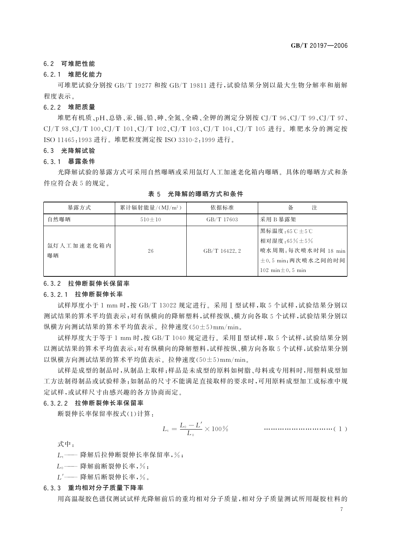#### 6.2 可堆肥性能

#### 6.2.1 堆肥化能力

可堆肥试验分别按 GB/T 19277 和按 GB/T 19811 进行, 试验结果分别以最大生物分解率和崩解 程度表示。

#### 6.2.2 堆肥质量

堆肥有机质、pH、总铬、汞、镉、铅、砷、全氮、全磷、全钾的测定分别按 CJ/T 96、CJ/T 99、CJ/T 97、 CJ/T 98、CJ/T 100、CJ/T 101、CJ/T 102、CJ/T 103、CJ/T 104、CJ/T 105 进行。堆肥水分的测定按 ISO 11465:1993 进行。堆肥粒度测定按 ISO 3310-2:1999 进行。

#### 6.3 光降解试验

#### 6.3.1 暴露条件

光降解试验的暴露方式可采用自然曝晒或采用氚灯人工加速老化箱内曝晒。具体的曝晒方式和条 件应符合表 5 的规定。

| 暴露方式             | 累计辐射能量/ $(MJ/m^2)$ | 依据标准         | 注<br>备                                                                 |
|------------------|--------------------|--------------|------------------------------------------------------------------------|
| 自然曝晒             | $510 \pm 10$       | GB/T 17603   | 采用B暴露架                                                                 |
| 氙灯人工加速老化箱内<br>曝晒 | 26                 | GB/T 16422.2 | 黑标温度:65℃±5℃<br>相对湿度:65%±5%<br>喷水周期:每次喷水时间 18 min<br>±0.5 min;两次喷水之间的时间 |
|                  |                    |              | $102 \text{ min} \pm 0.5 \text{ min}$                                  |

表 5 光降解的曝晒方式和条件

#### 6.3.2 拉伸断裂伸长保留率

#### 6.3.2.1 拉伸断裂伸长率

试样厚度小于 1 mm 时,按 GB/T 13022 规定进行。采用 I 型试样,取 5 个试样,试验结果分别以 测试结果的算术平均值表示:对有纵横向的降解塑料,试样按纵、横方向各取5个试样,试验结果分别以 纵横方向测试结果的算术平均值表示。拉伸速度(50±5)mm/min。

试样厚度大于等于 1 mm 时, 按 GB/T 1040 规定进行。采用 II 型试样, 取 5 个试样, 试验结果分别 以测试结果的算术平均值表示;对有纵横向的降解塑料,试样按纵、横方向各取5个试样,试验结果分别 以纵横方向测试结果的算术平均值表示。拉伸速度(50±5)mm/min。

试样是成型的制品时,从制品上取样;样品是未成型的原料如树脂、母料或专用料时,用塑料成型加 工方法制得制品或试验样条:如制品的尺寸不能满足直接取样的要求时,可用原料成型加工成标准中规 定试样,或试样尺寸由感兴趣的各方协商而定。

#### 6.3.2.2 拉伸断裂伸长率保留率

断裂伸长率保留率按式(1)计算:

式中:

L .-- 降解后拉伸断裂伸长率保留率,%;

— 降解前断裂伸长率,%;  $L_0$  —

 $L'$  —— 降解后断裂伸长率,%。

#### 6.3.3 重均相对分子质量下降率

用高温凝胶色谱仪测试试样光降解前后的重均相对分子质量,相对分子质量测试所用凝胶柱料的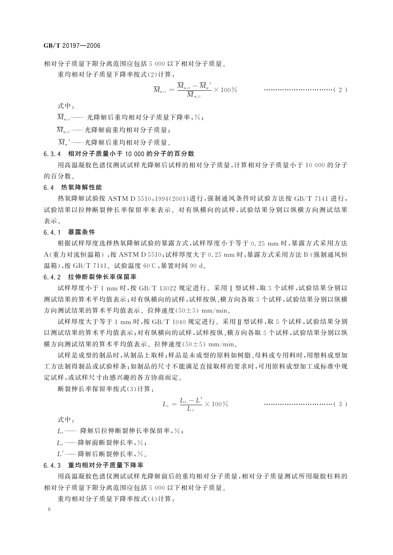相对分子质量下限分离范围应包括 5 000 以下相对分子质量。

重均相对分子质量下降率按式(2)计算:

式中:

 $\overline{M}_{w.x}$  --- 光降解后重均相对分子质量下降率,%;

 $\overline{M}_{\cdot\cdot}$ '---光降解后重均相对分子质量。

#### 6.3.4 相对分子质量小于 10 000 的分子的百分数

用高温凝胶色谱仪测试试样光降解后试样的相对分子质量,计算相对分子质量小于10,000 的分子 的百分数。

#### 6.4 热氧降解性能

热氧降解试验按 ASTM D 5510,1994(2001) 进行, 强制通风条件时试验方法按 GB/T 7141 进行, 试验结果以拉伸断裂伸长率保留率来表示。对有纵横向的试样,试验结果分别以纵横方向测试结果 表示。

#### 6.4.1 暴露条件

根据试样厚度选择热氧降解试验的暴露方式,试样厚度小于等于 0.25 mm 时,暴露方式采用方法 A(重力对流恒温箱),按 ASTM D 5510;试样厚度大于 0.25 mm 时,暴露方式采用方法 B (强制通风恒 温箱),按 GB/T 7141。试验温度 60℃,暴置时间 90 d。

#### 6.4.2 拉伸断裂伸长率保留率

试样厚度小于 1 mm 时,按 GB/T 13022 规定进行。采用 T 型试样,取 5 个试样,试验结果分别以 测试结果的算术平均值表示;对有纵横向的试样,试样按纵、横方向各取5个试样,试验结果分别以纵横 方向测试结果的算术平均值表示。拉伸速度(50±5) mm/min。

试样厚度大于等于 1 mm 时,按 GB/T 1040 规定进行。采用Ⅱ型试样,取 5 个试样,试验结果分别 以测试结果的算术平均值表示:对有纵横向的试样,试样按纵、横方向各取5个试样,试验结果分别以纵 横方向测试结果的算术平均值表示。拉伸速度(50+5) mm/min。

试样是成型的制品时,从制品上取样;样品是未成型的原料如树脂、母料或专用料时,用塑料成型加 工方法制得制品或试验样条:如制品的尺寸不能满足直接取样的要求时,可用原料成型加工成标准中规 定试样,或试样尺寸由感兴趣的各方协商而定。

断裂伸长率保留率按式(3)计算.

$$
L_{\rm t} = \frac{L_{\rm 0} - L'}{L_{\rm 0}} \times 100\,\%
$$
 \n
$$
\qquad \qquad \ldots \qquad \qquad \ldots \qquad \qquad \ldots \qquad \qquad \ldots \qquad \qquad \ldots \qquad \qquad \ldots \qquad \qquad \ldots \qquad \qquad \ldots \qquad \qquad \ldots \qquad \qquad \ldots \qquad \qquad \ldots \qquad \qquad \ldots \qquad \qquad \ldots \qquad \qquad \ldots \qquad \qquad \ldots \qquad \qquad \ldots \qquad \qquad \ldots \qquad \qquad \ldots \qquad \qquad \ldots \qquad \qquad \ldots \qquad \qquad \ldots \qquad \qquad \ldots \qquad \qquad \ldots \qquad \qquad \ldots \qquad \qquad \ldots \qquad \qquad \ldots \qquad \qquad \ldots \qquad \qquad \ldots \qquad \qquad \ldots \qquad \qquad \ldots \qquad \qquad \ldots \qquad \qquad \ldots \qquad \qquad \ldots \qquad \qquad \ldots \qquad \qquad \ldots \qquad \qquad \ldots \qquad \qquad \ldots \qquad \qquad \ldots \qquad \qquad \ldots \qquad \qquad \ldots \qquad \qquad \ldots \qquad \qquad \ldots \qquad \qquad \ldots \qquad \qquad \ldots \qquad \qquad \ldots \qquad \qquad \ldots \qquad \qquad \ldots \qquad \qquad \ldots \qquad \qquad \ldots \qquad \qquad \ldots \qquad \qquad \ldots \qquad \qquad \ldots \qquad \qquad \ldots \qquad \qquad \ldots \qquad \qquad \ldots \qquad \qquad \ldots \qquad \qquad \ldots \qquad \qquad \ldots \qquad \qquad \ldots \qquad \qquad \ldots \qquad \qquad \ldots \qquad \qquad \ldots \qquad \qquad \ldots \qquad \qquad \ldots \qquad \qquad \ldots \qquad \qquad \ldots \qquad \qquad \ldots \qquad \qquad \ldots \qquad \qquad \ldots \qquad \qquad \ldots \qquad \qquad \ldots \qquad \qquad \ldots \qquad \qquad \ldots \qquad \qquad \ldots \qquad \qquad \ldots \qquad \qquad \ldots \qquad \qquad \ldots \qquad \qquad \ldots \qquad \qquad \ldots \
$$

式中:

L .-- 降解后拉伸断裂伸长率保留率,%;

L. -- 降解前断裂伸长率,%;

L' -- 降解后断裂伸长率,%。

#### 6.4.3 重均相对分子质量下降率

用高温凝胶色谱仪测试试样光降解前后的重均相对分子质量,相对分子质量测试所用凝胶柱料的 相对分子质量下限分离范围应包括 5 000 以下相对分子质量。

重均相对分子质量下降率按式(4)计算: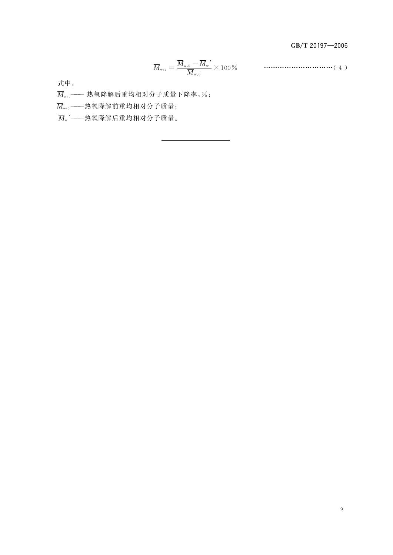GB/T 20197-2006

$$
\overline{M}_{\mathrm{w},\mathrm{t}} = \frac{\overline{M}_{\mathrm{w},\mathrm{0}} - \overline{M}_{\mathrm{w}}^{\prime}}{\overline{M}_{\mathrm{w},\mathrm{0}}} \times 100\,\%
$$
 \n
$$
\dots
$$

式中:

 $\overline{M}_{\mathrm{w},\mathrm{t}}$  —— 热氧降解后重均相对分子质量下降率,%;

 $\overline{M}_{\mathrm{w},0}$  ----热氧降解前重均相对分子质量;

 $\overline{M}_{\rm w}$ ' ——热氧降解后重均相对分子质量。